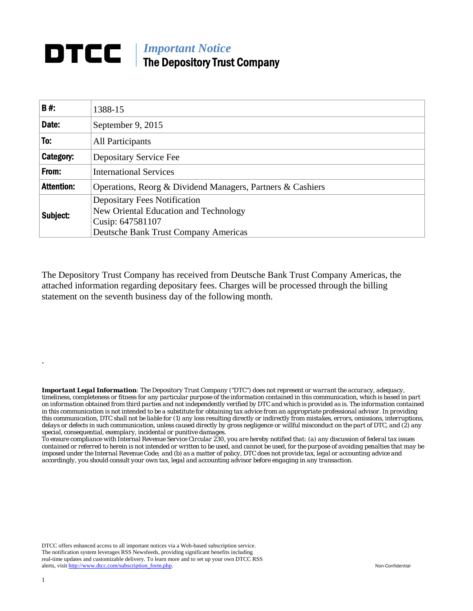## **DTCC** | *Important Notice* The Depository Trust Company

| B#:               | 1388-15                                                                                                                                         |  |  |  |  |  |
|-------------------|-------------------------------------------------------------------------------------------------------------------------------------------------|--|--|--|--|--|
| Date:             | September 9, 2015                                                                                                                               |  |  |  |  |  |
| To:               | All Participants                                                                                                                                |  |  |  |  |  |
| Category:         | Depositary Service Fee                                                                                                                          |  |  |  |  |  |
| From:             | <b>International Services</b>                                                                                                                   |  |  |  |  |  |
| <b>Attention:</b> | Operations, Reorg & Dividend Managers, Partners & Cashiers                                                                                      |  |  |  |  |  |
| Subject:          | <b>Depositary Fees Notification</b><br>New Oriental Education and Technology<br>Cusip: 647581107<br><b>Deutsche Bank Trust Company Americas</b> |  |  |  |  |  |

The Depository Trust Company has received from Deutsche Bank Trust Company Americas, the attached information regarding depositary fees. Charges will be processed through the billing statement on the seventh business day of the following month.

*Important Legal Information: The Depository Trust Company ("DTC") does not represent or warrant the accuracy, adequacy, timeliness, completeness or fitness for any particular purpose of the information contained in this communication, which is based in part on information obtained from third parties and not independently verified by DTC and which is provided as is. The information contained in this communication is not intended to be a substitute for obtaining tax advice from an appropriate professional advisor. In providing this communication, DTC shall not be liable for (1) any loss resulting directly or indirectly from mistakes, errors, omissions, interruptions, delays or defects in such communication, unless caused directly by gross negligence or willful misconduct on the part of DTC, and (2) any special, consequential, exemplary, incidental or punitive damages.* 

*To ensure compliance with Internal Revenue Service Circular 230, you are hereby notified that: (a) any discussion of federal tax issues contained or referred to herein is not intended or written to be used, and cannot be used, for the purpose of avoiding penalties that may be imposed under the Internal Revenue Code; and (b) as a matter of policy, DTC does not provide tax, legal or accounting advice and accordingly, you should consult your own tax, legal and accounting advisor before engaging in any transaction.*

DTCC offers enhanced access to all important notices via a Web-based subscription service. The notification system leverages RSS Newsfeeds, providing significant benefits including real-time updates and customizable delivery. To learn more and to set up your own DTCC RSS alerts, visit http://www.dtcc.com/subscription\_form.php. Non-Confidential

.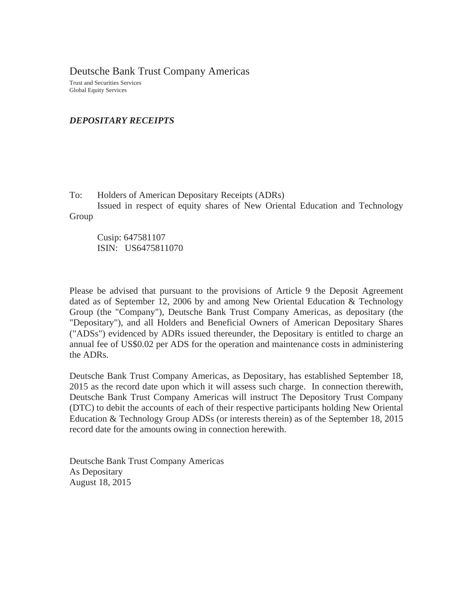Deutsche Bank Trust Company Americas

Trust and Securities Services Global Equity Services

## *DEPOSITARY RECEIPTS*

To: Holders of American Depositary Receipts (ADRs)

 Issued in respect of equity shares of New Oriental Education and Technology Group

Cusip: 647581107 ISIN: US6475811070

Please be advised that pursuant to the provisions of Article 9 the Deposit Agreement dated as of September 12, 2006 by and among New Oriental Education & Technology Group (the "Company"), Deutsche Bank Trust Company Americas, as depositary (the "Depositary"), and all Holders and Beneficial Owners of American Depositary Shares ("ADSs") evidenced by ADRs issued thereunder, the Depositary is entitled to charge an annual fee of US\$0.02 per ADS for the operation and maintenance costs in administering the ADRs.

Deutsche Bank Trust Company Americas, as Depositary, has established September 18, 2015 as the record date upon which it will assess such charge. In connection therewith, Deutsche Bank Trust Company Americas will instruct The Depository Trust Company (DTC) to debit the accounts of each of their respective participants holding New Oriental Education & Technology Group ADSs (or interests therein) as of the September 18, 2015 record date for the amounts owing in connection herewith.

Deutsche Bank Trust Company Americas As Depositary August 18, 2015